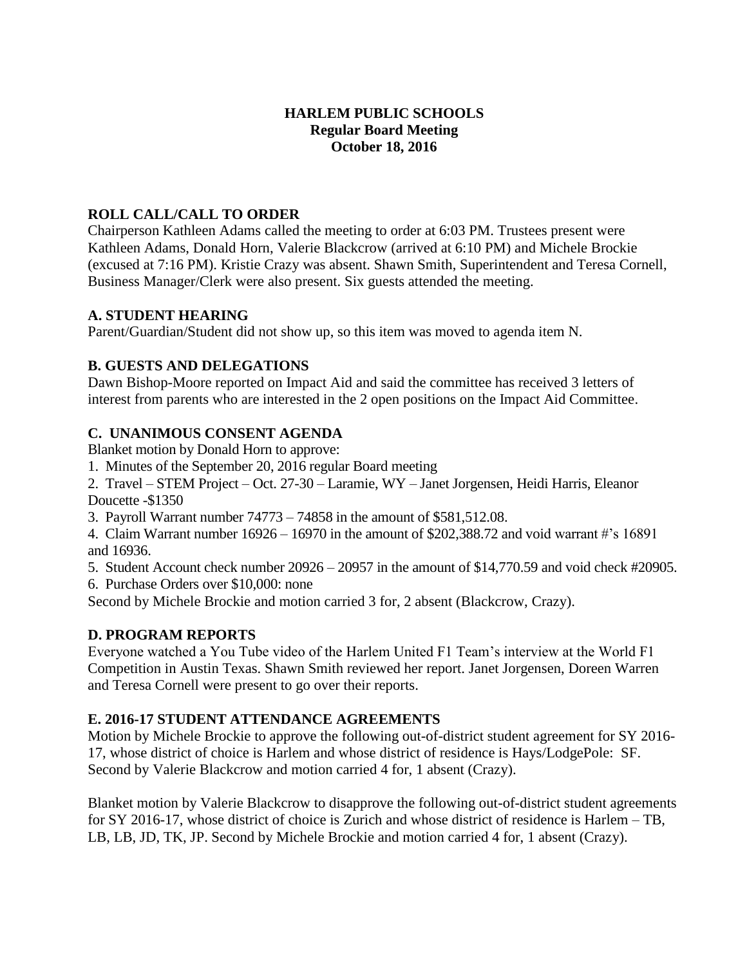### **HARLEM PUBLIC SCHOOLS Regular Board Meeting October 18, 2016**

## **ROLL CALL/CALL TO ORDER**

Chairperson Kathleen Adams called the meeting to order at 6:03 PM. Trustees present were Kathleen Adams, Donald Horn, Valerie Blackcrow (arrived at 6:10 PM) and Michele Brockie (excused at 7:16 PM). Kristie Crazy was absent. Shawn Smith, Superintendent and Teresa Cornell, Business Manager/Clerk were also present. Six guests attended the meeting.

### **A. STUDENT HEARING**

Parent/Guardian/Student did not show up, so this item was moved to agenda item N.

## **B. GUESTS AND DELEGATIONS**

Dawn Bishop-Moore reported on Impact Aid and said the committee has received 3 letters of interest from parents who are interested in the 2 open positions on the Impact Aid Committee.

## **C. UNANIMOUS CONSENT AGENDA**

Blanket motion by Donald Horn to approve:

1. Minutes of the September 20, 2016 regular Board meeting

2. Travel – STEM Project – Oct. 27-30 – Laramie, WY – Janet Jorgensen, Heidi Harris, Eleanor Doucette -\$1350

3. Payroll Warrant number 74773 – 74858 in the amount of \$581,512.08.

4. Claim Warrant number 16926 – 16970 in the amount of \$202,388.72 and void warrant #'s 16891 and 16936.

5. Student Account check number 20926 – 20957 in the amount of \$14,770.59 and void check #20905. 6. Purchase Orders over \$10,000: none

Second by Michele Brockie and motion carried 3 for, 2 absent (Blackcrow, Crazy).

## **D. PROGRAM REPORTS**

Everyone watched a You Tube video of the Harlem United F1 Team's interview at the World F1 Competition in Austin Texas. Shawn Smith reviewed her report. Janet Jorgensen, Doreen Warren and Teresa Cornell were present to go over their reports.

## **E. 2016-17 STUDENT ATTENDANCE AGREEMENTS**

Motion by Michele Brockie to approve the following out-of-district student agreement for SY 2016- 17, whose district of choice is Harlem and whose district of residence is Hays/LodgePole: SF. Second by Valerie Blackcrow and motion carried 4 for, 1 absent (Crazy).

Blanket motion by Valerie Blackcrow to disapprove the following out-of-district student agreements for SY 2016-17, whose district of choice is Zurich and whose district of residence is Harlem – TB, LB, LB, JD, TK, JP. Second by Michele Brockie and motion carried 4 for, 1 absent (Crazy).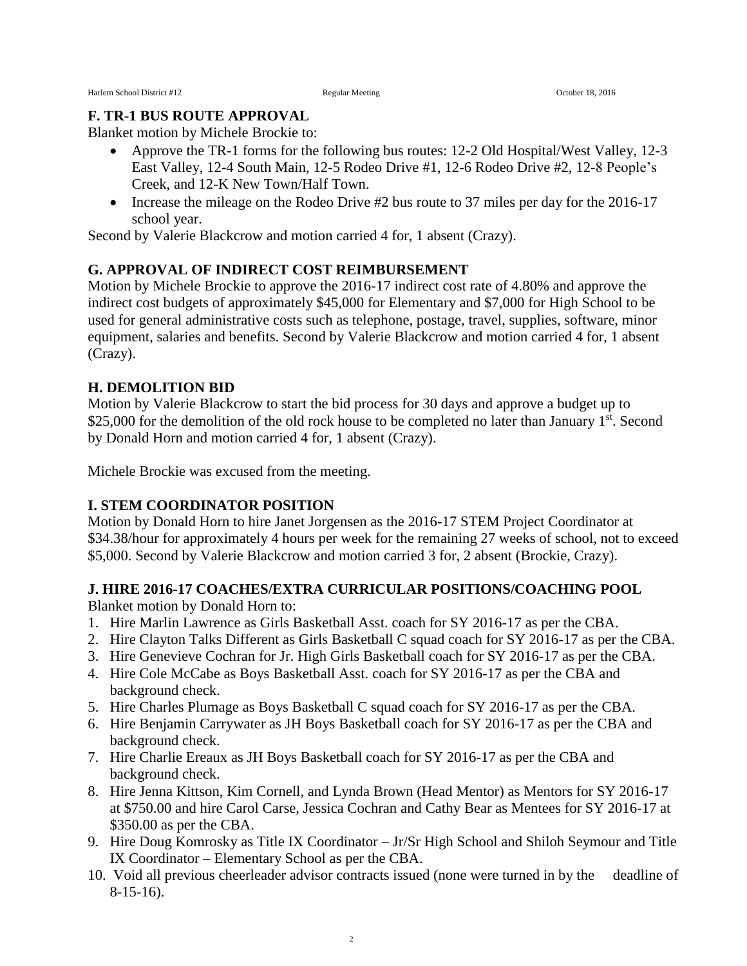#### **F. TR-1 BUS ROUTE APPROVAL**

Blanket motion by Michele Brockie to:

- Approve the TR-1 forms for the following bus routes: 12-2 Old Hospital/West Valley, 12-3 East Valley, 12-4 South Main, 12-5 Rodeo Drive #1, 12-6 Rodeo Drive #2, 12-8 People's Creek, and 12-K New Town/Half Town.
- Increase the mileage on the Rodeo Drive #2 bus route to 37 miles per day for the 2016-17 school year.

Second by Valerie Blackcrow and motion carried 4 for, 1 absent (Crazy).

### **G. APPROVAL OF INDIRECT COST REIMBURSEMENT**

Motion by Michele Brockie to approve the 2016-17 indirect cost rate of 4.80% and approve the indirect cost budgets of approximately \$45,000 for Elementary and \$7,000 for High School to be used for general administrative costs such as telephone, postage, travel, supplies, software, minor equipment, salaries and benefits. Second by Valerie Blackcrow and motion carried 4 for, 1 absent (Crazy).

#### **H. DEMOLITION BID**

Motion by Valerie Blackcrow to start the bid process for 30 days and approve a budget up to \$25,000 for the demolition of the old rock house to be completed no later than January 1<sup>st</sup>. Second by Donald Horn and motion carried 4 for, 1 absent (Crazy).

Michele Brockie was excused from the meeting.

#### **I. STEM COORDINATOR POSITION**

Motion by Donald Horn to hire Janet Jorgensen as the 2016-17 STEM Project Coordinator at \$34.38/hour for approximately 4 hours per week for the remaining 27 weeks of school, not to exceed \$5,000. Second by Valerie Blackcrow and motion carried 3 for, 2 absent (Brockie, Crazy).

#### **J. HIRE 2016-17 COACHES/EXTRA CURRICULAR POSITIONS/COACHING POOL**

Blanket motion by Donald Horn to:

- 1. Hire Marlin Lawrence as Girls Basketball Asst. coach for SY 2016-17 as per the CBA.
- 2. Hire Clayton Talks Different as Girls Basketball C squad coach for SY 2016-17 as per the CBA.
- 3. Hire Genevieve Cochran for Jr. High Girls Basketball coach for SY 2016-17 as per the CBA.
- 4. Hire Cole McCabe as Boys Basketball Asst. coach for SY 2016-17 as per the CBA and background check.
- 5. Hire Charles Plumage as Boys Basketball C squad coach for SY 2016-17 as per the CBA.
- 6. Hire Benjamin Carrywater as JH Boys Basketball coach for SY 2016-17 as per the CBA and background check.
- 7. Hire Charlie Ereaux as JH Boys Basketball coach for SY 2016-17 as per the CBA and background check.
- 8. Hire Jenna Kittson, Kim Cornell, and Lynda Brown (Head Mentor) as Mentors for SY 2016-17 at \$750.00 and hire Carol Carse, Jessica Cochran and Cathy Bear as Mentees for SY 2016-17 at \$350.00 as per the CBA.
- 9. Hire Doug Komrosky as Title IX Coordinator Jr/Sr High School and Shiloh Seymour and Title IX Coordinator – Elementary School as per the CBA.
- 10. Void all previous cheerleader advisor contracts issued (none were turned in by the deadline of 8-15-16).